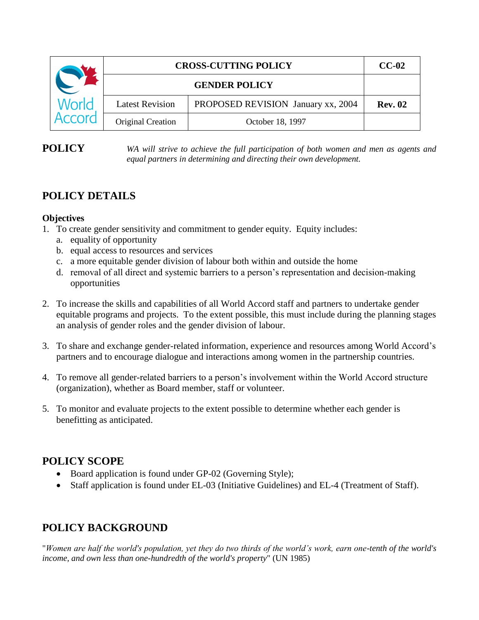| World<br>Accord | <b>CROSS-CUTTING POLICY</b> |                                    | $CC-02$        |
|-----------------|-----------------------------|------------------------------------|----------------|
|                 | <b>GENDER POLICY</b>        |                                    |                |
|                 | <b>Latest Revision</b>      | PROPOSED REVISION January xx, 2004 | <b>Rev. 02</b> |
|                 | Original Creation           | October 18, 1997                   |                |

**POLICY** *WA will strive to achieve the full participation of both women and men as agents and equal partners in determining and directing their own development.* 

# **POLICY DETAILS**

### **Objectives**

- 1. To create gender sensitivity and commitment to gender equity. Equity includes:
	- a. equality of opportunity
	- b. equal access to resources and services
	- c. a more equitable gender division of labour both within and outside the home
	- d. removal of all direct and systemic barriers to a person's representation and decision-making opportunities
- 2. To increase the skills and capabilities of all World Accord staff and partners to undertake gender equitable programs and projects. To the extent possible, this must include during the planning stages an analysis of gender roles and the gender division of labour.
- 3. To share and exchange gender-related information, experience and resources among World Accord's partners and to encourage dialogue and interactions among women in the partnership countries.
- 4. To remove all gender-related barriers to a person's involvement within the World Accord structure (organization), whether as Board member, staff or volunteer.
- 5. To monitor and evaluate projects to the extent possible to determine whether each gender is benefitting as anticipated.

## **POLICY SCOPE**

- Board application is found under GP-02 (Governing Style);
- Staff application is found under EL-03 (Initiative Guidelines) and EL-4 (Treatment of Staff).

## **POLICY BACKGROUND**

"*Women are half the world's population, yet they do two thirds of the world's work, earn one-tenth of the world's income, and own less than one-hundredth of the world's property*" (UN 1985)